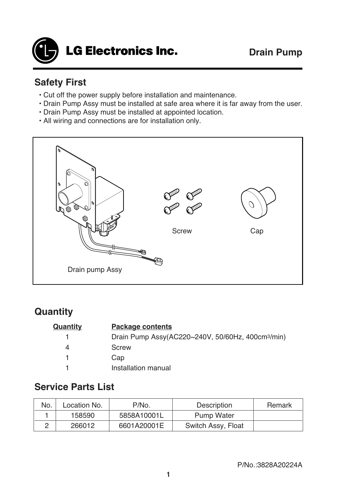

## **Safety First**

- Cut off the power supply before installation and maintenance.
- Drain Pump Assy must be installed at safe area where it is far away from the user.
- Drain Pump Assy must be installed at appointed location.
- All wiring and connections are for installation only.



### **Quantity**

| Quantity | <b>Package contents</b>                                       |  |
|----------|---------------------------------------------------------------|--|
|          | Drain Pump Assy(AC220~240V, 50/60Hz, 400cm <sup>3</sup> /min) |  |
| 4        | Screw                                                         |  |
|          | Cap                                                           |  |
|          | Installation manual                                           |  |

#### **Service Parts List**

| No. | Location No. | P/No.       | Description        | Remark |
|-----|--------------|-------------|--------------------|--------|
|     | 158590       | 5858A10001L | Pump Water         |        |
|     | 266012       | 6601A20001E | Switch Assy, Float |        |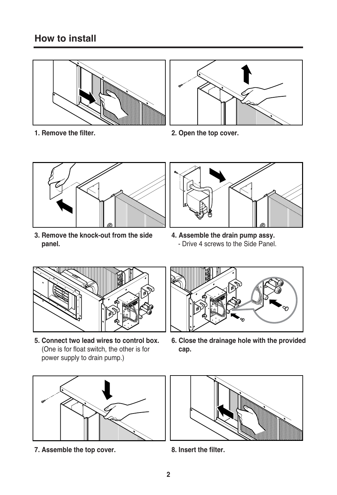# **How to install**





**1. Remove the filter. 2. Open the top cover.**



**3. Remove the knock-out from the side panel.**



**4. Assemble the drain pump assy.** - Drive 4 screws to the Side Panel.



**5. Connect two lead wires to control box.** (One is for float switch, the other is for power supply to drain pump.)



**6. Close the drainage hole with the provided cap.**



**7. Assemble the top cover. 8. Insert the filter.**

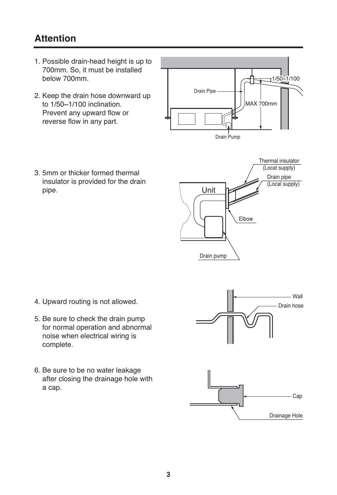## **Attention**

- 1. Possible drain-head height is up to 700mm. So, it must be installed below 700mm.
- 2. Keep the drain hose downward up to 1/50~1/100 inclination. Prevent any upward flow or reverse flow in any part.



3. 5mm or thicker formed thermal insulator is provided for the drain pipe.



- 4. Upward routing is not allowed.
- 5. Be sure to check the drain pump for normal operation and abnormal noise when electrical wiring is complete.
- 6. Be sure to be no water leakage after closing the drainage hole with a cap.